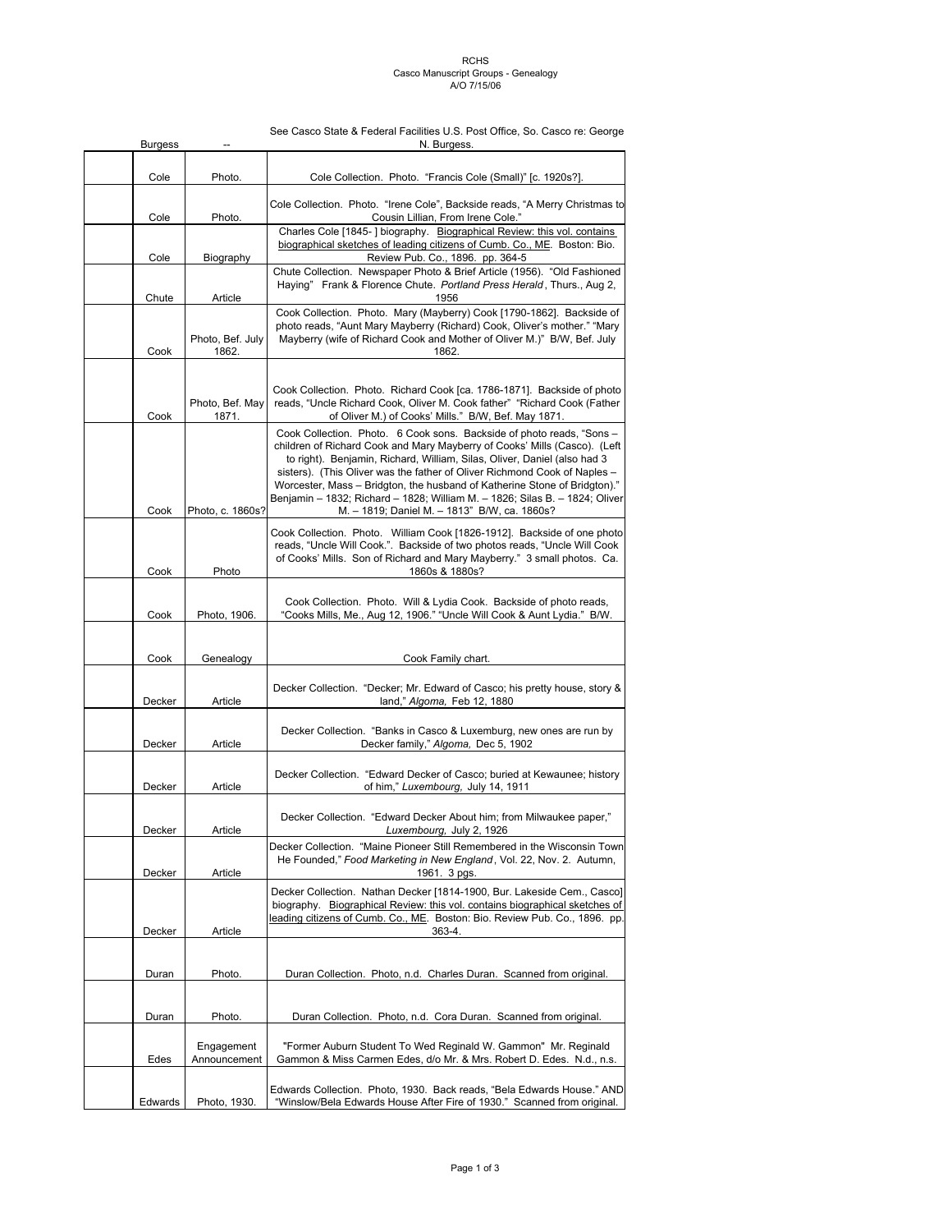## RCHS Casco Manuscript Groups - Genealogy A/O 7/15/06

## See Casco State & Federal Facilities U.S. Post Office, So. Casco re: George N. Burgess.

| <b>Burgess</b> |                            | N. Burgess.                                                                                                                                                                                                                                                                                                                                                                                                                                                                                                             |
|----------------|----------------------------|-------------------------------------------------------------------------------------------------------------------------------------------------------------------------------------------------------------------------------------------------------------------------------------------------------------------------------------------------------------------------------------------------------------------------------------------------------------------------------------------------------------------------|
| Cole           | Photo.                     | Cole Collection. Photo. "Francis Cole (Small)" [c. 1920s?].                                                                                                                                                                                                                                                                                                                                                                                                                                                             |
| Cole           | Photo.                     | Cole Collection. Photo. "Irene Cole", Backside reads, "A Merry Christmas to<br>Cousin Lillian, From Irene Cole."                                                                                                                                                                                                                                                                                                                                                                                                        |
| Cole           | Biography                  | Charles Cole [1845-] biography. Biographical Review: this vol. contains<br>biographical sketches of leading citizens of Cumb. Co., ME. Boston: Bio.<br>Review Pub. Co., 1896. pp. 364-5                                                                                                                                                                                                                                                                                                                                 |
| Chute          | Article                    | Chute Collection. Newspaper Photo & Brief Article (1956). "Old Fashioned<br>Haying" Frank & Florence Chute. Portland Press Herald, Thurs., Aug 2,<br>1956                                                                                                                                                                                                                                                                                                                                                               |
| Cook           | Photo, Bef. July<br>1862.  | Cook Collection. Photo. Mary (Mayberry) Cook [1790-1862]. Backside of<br>photo reads, "Aunt Mary Mayberry (Richard) Cook, Oliver's mother." "Mary<br>Mayberry (wife of Richard Cook and Mother of Oliver M.)" B/W, Bef. July<br>1862.                                                                                                                                                                                                                                                                                   |
| Cook           | Photo, Bef. May<br>1871.   | Cook Collection. Photo. Richard Cook [ca. 1786-1871]. Backside of photo<br>reads, "Uncle Richard Cook, Oliver M. Cook father" "Richard Cook (Father<br>of Oliver M.) of Cooks' Mills." B/W, Bef. May 1871.                                                                                                                                                                                                                                                                                                              |
| Cook           | Photo, c. 1860s?           | Cook Collection. Photo. 6 Cook sons. Backside of photo reads, "Sons -<br>children of Richard Cook and Mary Mayberry of Cooks' Mills (Casco). (Left<br>to right). Benjamin, Richard, William, Silas, Oliver, Daniel (also had 3<br>sisters). (This Oliver was the father of Oliver Richmond Cook of Naples -<br>Worcester, Mass - Bridgton, the husband of Katherine Stone of Bridgton)."<br>Benjamin - 1832; Richard - 1828; William M. - 1826; Silas B. - 1824; Oliver<br>M. - 1819; Daniel M. - 1813" B/W, ca. 1860s? |
| Cook           | Photo                      | Cook Collection. Photo. William Cook [1826-1912]. Backside of one photo<br>reads, "Uncle Will Cook.". Backside of two photos reads, "Uncle Will Cook<br>of Cooks' Mills. Son of Richard and Mary Mayberry." 3 small photos. Ca.<br>1860s & 1880s?                                                                                                                                                                                                                                                                       |
| Cook           | Photo, 1906.               | Cook Collection. Photo. Will & Lydia Cook. Backside of photo reads,<br>"Cooks Mills, Me., Aug 12, 1906." "Uncle Will Cook & Aunt Lydia." B/W.                                                                                                                                                                                                                                                                                                                                                                           |
| Cook           | Genealogy                  | Cook Family chart.                                                                                                                                                                                                                                                                                                                                                                                                                                                                                                      |
| Decker         | Article                    | Decker Collection. "Decker; Mr. Edward of Casco; his pretty house, story &<br>land," Algoma, Feb 12, 1880                                                                                                                                                                                                                                                                                                                                                                                                               |
| Decker         | Article                    | Decker Collection. "Banks in Casco & Luxemburg, new ones are run by<br>Decker family," Algoma, Dec 5, 1902                                                                                                                                                                                                                                                                                                                                                                                                              |
| Decker         | Article                    | Decker Collection. "Edward Decker of Casco; buried at Kewaunee; history<br>of him," Luxembourg, July 14, 1911                                                                                                                                                                                                                                                                                                                                                                                                           |
| Decker         | Article                    | Decker Collection. "Edward Decker About him; from Milwaukee paper,"<br>Luxembourg, July 2, 1926                                                                                                                                                                                                                                                                                                                                                                                                                         |
| Decker         | Article                    | Decker Collection. "Maine Pioneer Still Remembered in the Wisconsin Town<br>He Founded," Food Marketing in New England, Vol. 22, Nov. 2. Autumn,<br>1961. 3 pgs.                                                                                                                                                                                                                                                                                                                                                        |
|                |                            | Decker Collection. Nathan Decker [1814-1900, Bur. Lakeside Cem., Casco]<br>biography. Biographical Review: this vol. contains biographical sketches of<br>leading citizens of Cumb. Co., ME. Boston: Bio. Review Pub. Co., 1896. pp.                                                                                                                                                                                                                                                                                    |
| Decker         | Article                    | 363-4.                                                                                                                                                                                                                                                                                                                                                                                                                                                                                                                  |
| Duran          | Photo.                     | Duran Collection. Photo, n.d. Charles Duran. Scanned from original.                                                                                                                                                                                                                                                                                                                                                                                                                                                     |
| Duran          | Photo.                     | Duran Collection. Photo, n.d. Cora Duran. Scanned from original.                                                                                                                                                                                                                                                                                                                                                                                                                                                        |
| Edes           | Engagement<br>Announcement | "Former Auburn Student To Wed Reginald W. Gammon" Mr. Reginald<br>Gammon & Miss Carmen Edes, d/o Mr. & Mrs. Robert D. Edes. N.d., n.s.                                                                                                                                                                                                                                                                                                                                                                                  |
| Edwards        | Photo, 1930.               | Edwards Collection. Photo, 1930. Back reads, "Bela Edwards House." AND<br>"Winslow/Bela Edwards House After Fire of 1930." Scanned from original.                                                                                                                                                                                                                                                                                                                                                                       |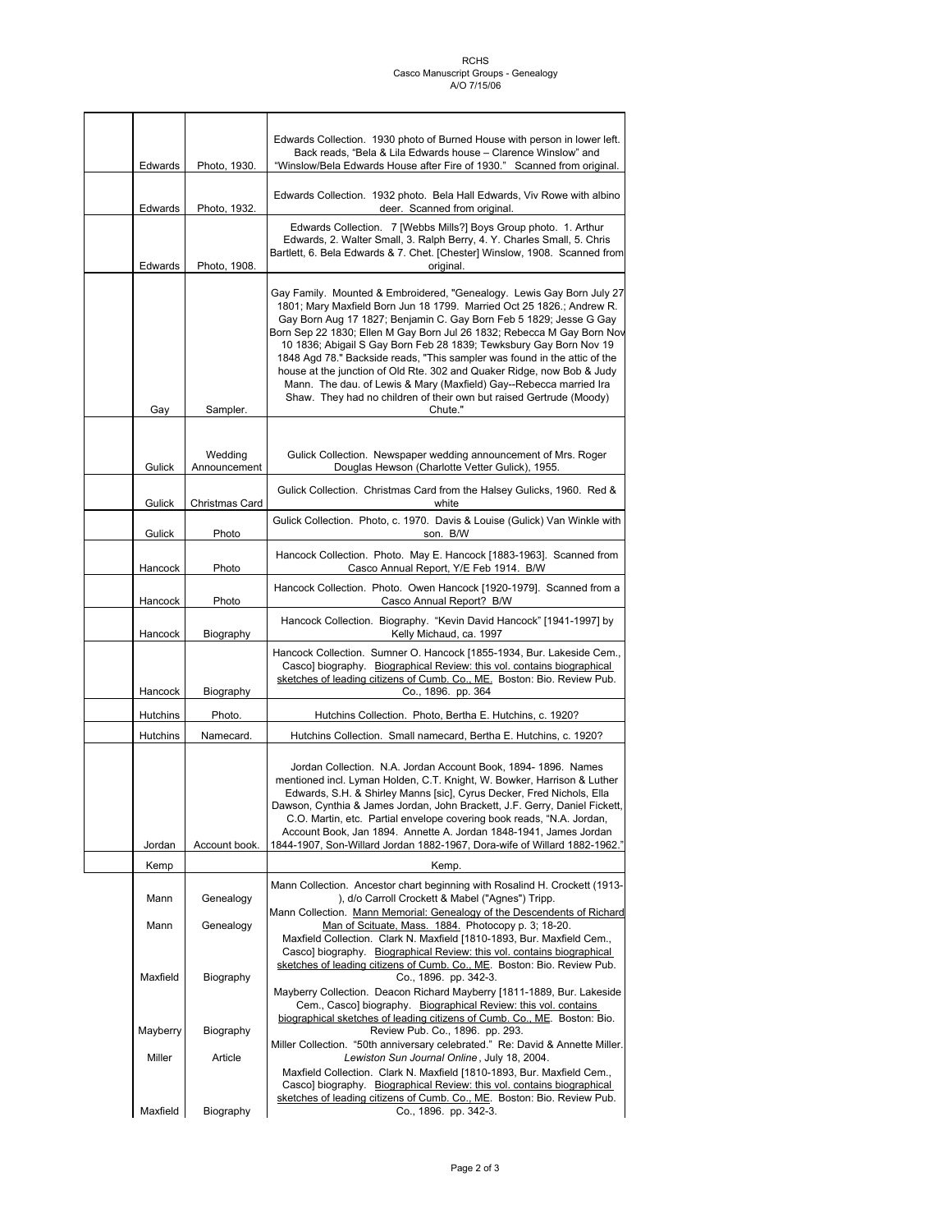## RCHS Casco Manuscript Groups - Genealogy A/O 7/15/06

|                    |                         | Edwards Collection. 1930 photo of Burned House with person in lower left.<br>Back reads, "Bela & Lila Edwards house - Clarence Winslow" and                                                                                                                                                                                                                                                                                                                                                                                                                                                                                                                                         |
|--------------------|-------------------------|-------------------------------------------------------------------------------------------------------------------------------------------------------------------------------------------------------------------------------------------------------------------------------------------------------------------------------------------------------------------------------------------------------------------------------------------------------------------------------------------------------------------------------------------------------------------------------------------------------------------------------------------------------------------------------------|
| Edwards            | Photo, 1930.            | "Winslow/Bela Edwards House after Fire of 1930." Scanned from original.                                                                                                                                                                                                                                                                                                                                                                                                                                                                                                                                                                                                             |
| Edwards            | Photo, 1932.            | Edwards Collection. 1932 photo. Bela Hall Edwards, Viv Rowe with albino<br>deer. Scanned from original.                                                                                                                                                                                                                                                                                                                                                                                                                                                                                                                                                                             |
|                    |                         | Edwards Collection. 7 [Webbs Mills?] Boys Group photo. 1. Arthur<br>Edwards, 2. Walter Small, 3. Ralph Berry, 4. Y. Charles Small, 5. Chris<br>Bartlett, 6. Bela Edwards & 7. Chet. [Chester] Winslow, 1908. Scanned from                                                                                                                                                                                                                                                                                                                                                                                                                                                           |
| Edwards            | Photo, 1908.            | original.                                                                                                                                                                                                                                                                                                                                                                                                                                                                                                                                                                                                                                                                           |
| Gay                | Sampler.                | Gay Family. Mounted & Embroidered, "Genealogy. Lewis Gay Born July 27<br>1801; Mary Maxfield Born Jun 18 1799. Married Oct 25 1826.; Andrew R.<br>Gay Born Aug 17 1827; Benjamin C. Gay Born Feb 5 1829; Jesse G Gay<br>Born Sep 22 1830; Ellen M Gay Born Jul 26 1832; Rebecca M Gay Born Nov<br>10 1836; Abigail S Gay Born Feb 28 1839; Tewksbury Gay Born Nov 19<br>1848 Agd 78." Backside reads, "This sampler was found in the attic of the<br>house at the junction of Old Rte. 302 and Quaker Ridge, now Bob & Judy<br>Mann. The dau. of Lewis & Mary (Maxfield) Gay--Rebecca married Ira<br>Shaw. They had no children of their own but raised Gertrude (Moody)<br>Chute." |
|                    |                         |                                                                                                                                                                                                                                                                                                                                                                                                                                                                                                                                                                                                                                                                                     |
| Gulick             | Wedding<br>Announcement | Gulick Collection. Newspaper wedding announcement of Mrs. Roger<br>Douglas Hewson (Charlotte Vetter Gulick), 1955.                                                                                                                                                                                                                                                                                                                                                                                                                                                                                                                                                                  |
| Gulick             | Christmas Card          | Gulick Collection. Christmas Card from the Halsey Gulicks, 1960. Red &<br>white                                                                                                                                                                                                                                                                                                                                                                                                                                                                                                                                                                                                     |
| Gulick             | Photo                   | Gulick Collection. Photo, c. 1970. Davis & Louise (Gulick) Van Winkle with<br>son. B/W                                                                                                                                                                                                                                                                                                                                                                                                                                                                                                                                                                                              |
| Hancock            | Photo                   | Hancock Collection. Photo. May E. Hancock [1883-1963]. Scanned from<br>Casco Annual Report, Y/E Feb 1914. B/W                                                                                                                                                                                                                                                                                                                                                                                                                                                                                                                                                                       |
| Hancock            | Photo                   | Hancock Collection. Photo. Owen Hancock [1920-1979]. Scanned from a<br>Casco Annual Report? B/W                                                                                                                                                                                                                                                                                                                                                                                                                                                                                                                                                                                     |
| Hancock            | Biography               | Hancock Collection. Biography. "Kevin David Hancock" [1941-1997] by<br>Kelly Michaud, ca. 1997                                                                                                                                                                                                                                                                                                                                                                                                                                                                                                                                                                                      |
|                    |                         | Hancock Collection. Sumner O. Hancock [1855-1934, Bur. Lakeside Cem.,<br>Casco] biography. Biographical Review: this vol. contains biographical<br>sketches of leading citizens of Cumb. Co., ME. Boston: Bio. Review Pub.                                                                                                                                                                                                                                                                                                                                                                                                                                                          |
| Hancock            | Biography               | Co., 1896. pp. 364                                                                                                                                                                                                                                                                                                                                                                                                                                                                                                                                                                                                                                                                  |
| Hutchins           | Photo.                  | Hutchins Collection. Photo, Bertha E. Hutchins, c. 1920?                                                                                                                                                                                                                                                                                                                                                                                                                                                                                                                                                                                                                            |
| Hutchins           | Namecard.               | Hutchins Collection. Small namecard, Bertha E. Hutchins, c. 1920?                                                                                                                                                                                                                                                                                                                                                                                                                                                                                                                                                                                                                   |
| Jordan             | Account book.           | Jordan Collection. N.A. Jordan Account Book, 1894-1896. Names<br>mentioned incl. Lyman Holden, C.T. Knight, W. Bowker, Harrison & Luther<br>Edwards, S.H. & Shirley Manns [sic], Cyrus Decker, Fred Nichols, Ella<br>Dawson, Cynthia & James Jordan, John Brackett, J.F. Gerry, Daniel Fickett,<br>C.O. Martin, etc. Partial envelope covering book reads, "N.A. Jordan,<br>Account Book, Jan 1894. Annette A. Jordan 1848-1941, James Jordan<br>1844-1907, Son-Willard Jordan 1882-1967, Dora-wife of Willard 1882-1962."                                                                                                                                                          |
| Kemp               |                         | Kemp.                                                                                                                                                                                                                                                                                                                                                                                                                                                                                                                                                                                                                                                                               |
| Mann               | Genealogy               | Mann Collection. Ancestor chart beginning with Rosalind H. Crockett (1913-<br>), d/o Carroll Crockett & Mabel ("Agnes") Tripp.<br>Mann Collection. Mann Memorial: Genealogy of the Descendents of Richard                                                                                                                                                                                                                                                                                                                                                                                                                                                                           |
| Mann               | Genealogy               | Man of Scituate, Mass. 1884. Photocopy p. 3; 18-20.<br>Maxfield Collection. Clark N. Maxfield [1810-1893, Bur. Maxfield Cem.,<br>Casco] biography. Biographical Review: this vol. contains biographical                                                                                                                                                                                                                                                                                                                                                                                                                                                                             |
| Maxfield           | Biography               | sketches of leading citizens of Cumb. Co., ME. Boston: Bio. Review Pub.<br>Co., 1896. pp. 342-3.<br>Mayberry Collection. Deacon Richard Mayberry [1811-1889, Bur. Lakeside<br>Cem., Casco] biography. Biographical Review: this vol. contains                                                                                                                                                                                                                                                                                                                                                                                                                                       |
| Mayberry<br>Miller | Biography<br>Article    | biographical sketches of leading citizens of Cumb. Co., ME. Boston: Bio.<br>Review Pub. Co., 1896. pp. 293.<br>Miller Collection. "50th anniversary celebrated." Re: David & Annette Miller.<br>Lewiston Sun Journal Online, July 18, 2004.                                                                                                                                                                                                                                                                                                                                                                                                                                         |
|                    |                         | Maxfield Collection. Clark N. Maxfield [1810-1893, Bur. Maxfield Cem.,<br>Casco] biography. Biographical Review: this vol. contains biographical<br>sketches of leading citizens of Cumb. Co., ME. Boston: Bio. Review Pub.                                                                                                                                                                                                                                                                                                                                                                                                                                                         |
| Maxfield           | Biography               | Co., 1896. pp. 342-3.                                                                                                                                                                                                                                                                                                                                                                                                                                                                                                                                                                                                                                                               |